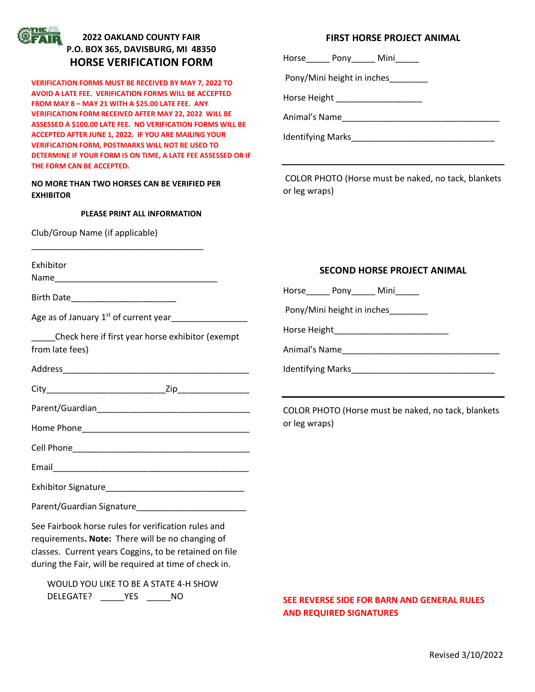

## **2022 OAKLAND COUNTY FAIR P.O. BOX 365, DAVISBURG, MI 48350 HORSE VERIFICATION FORM**

**VERIFICATION FORMS MUST BE RECEIVED BY MAY 7, 2022 TO AVOID A LATE FEE. VERIFICATION FORMS WILL BE ACCEPTED FROM MAY 8 – MAY 21 WITH A \$25.00 LATE FEE. ANY VERIFICATION FORM RECEIVED AFTER MAY 22, 2022 WILL BE ASSESSED A \$100.00 LATE FEE. NO VERIFICATION FORMS WILL BE ACCEPTED AFTER JUNE 1, 2022. IF YOU ARE MAILING YOUR VERIFICATION FORM, POSTMARKS WILL NOT BE USED TO DETERMINE IF YOUR FORM IS ON TIME, A LATE FEE ASSESSED OR IF THE FORM CAN BE ACCEPTED.** 

**NO MORE THAN TWO HORSES CAN BE VERIFIED PER EXHIBITOR**

\_\_\_\_\_\_\_\_\_\_\_\_\_\_\_\_\_\_\_\_\_\_\_\_\_\_\_\_\_\_\_\_\_\_\_\_

DELEGATE? \_\_\_\_\_YES \_\_\_\_\_NO

#### **PLEASE PRINT ALL INFORMATION**

Club/Group Name (if applicable)

### **FIRST HORSE PROJECT ANIMAL**

Horse\_\_\_\_\_ Pony\_\_\_\_\_ Mini\_\_\_\_\_

Pony/Mini height in inches\_\_\_\_\_\_\_\_

Horse Height \_\_\_\_\_\_\_\_\_\_\_\_\_\_\_\_\_\_\_\_\_

Animal's Name\_\_\_\_\_\_\_\_\_\_\_\_\_\_\_\_\_\_\_\_\_\_\_\_\_\_\_\_\_\_\_\_\_

Identifying Marks\_\_\_\_\_\_\_\_\_\_\_\_\_\_\_\_\_\_\_\_\_\_\_\_\_\_\_\_\_\_

COLOR PHOTO (Horse must be naked, no tack, blankets or leg wraps)

| Exhibitor                                                                                                                                                                                                                   | <b>SECOND HORSE PROJECT ANIMAL</b>                  |  |  |  |
|-----------------------------------------------------------------------------------------------------------------------------------------------------------------------------------------------------------------------------|-----------------------------------------------------|--|--|--|
|                                                                                                                                                                                                                             |                                                     |  |  |  |
| Birth Date_________________________                                                                                                                                                                                         | Horse_________ Pony________ Mini_______             |  |  |  |
| Age as of January 1 <sup>st</sup> of current year__________________<br>Check here if first year horse exhibitor (exempt<br>from late fees)                                                                                  | Pony/Mini height in inches________                  |  |  |  |
|                                                                                                                                                                                                                             |                                                     |  |  |  |
|                                                                                                                                                                                                                             |                                                     |  |  |  |
|                                                                                                                                                                                                                             | COLOR PHOTO (Horse must be naked, no tack, blankets |  |  |  |
|                                                                                                                                                                                                                             | or leg wraps)                                       |  |  |  |
|                                                                                                                                                                                                                             |                                                     |  |  |  |
|                                                                                                                                                                                                                             |                                                     |  |  |  |
|                                                                                                                                                                                                                             |                                                     |  |  |  |
|                                                                                                                                                                                                                             |                                                     |  |  |  |
| See Fairbook horse rules for verification rules and<br>requirements. Note: There will be no changing of<br>classes. Current years Coggins, to be retained on file<br>during the Fair, will be required at time of check in. |                                                     |  |  |  |
| WOULD YOU LIKE TO BE A STATE 4-H SHOW                                                                                                                                                                                       |                                                     |  |  |  |

**SEE REVERSE SIDE FOR BARN AND GENERAL RULES AND REQUIRED SIGNATURES**